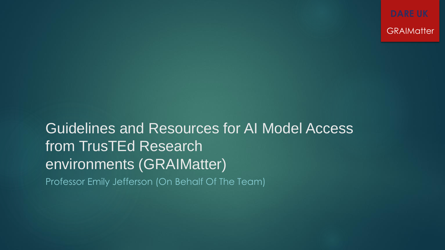**GRAIMatter** 

Guidelines and Resources for AI Model Access from TrusTEd Research environments (GRAIMatter) Professor Emily Jefferson (On Behalf Of The Team)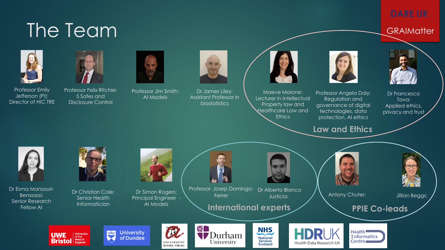### The Team GRAIMatter





Professor Emily Jefferson (PI): Director of HIC TRE





Professor Jim Smith: AI Models



Dr James Liley: Assistant Professor in biostatistics



Maeve Malone: Lecturer in Intellectual Property law and Healthcare Law and **Ethics** 



Dr Francesco Tava: Applied ethics, privacy and trust

**Law and Ethics**

Professor Angela Daly: Regulation and governance of digital technologies, data protection, AI ethics



Dr Esma Mansouri-Benssassi: Senior Research Fellow AI

**UWE** 

**Bristol** Rest of

University<br>of the



Dr Christian Cole: Senior Health **Informatician** 

豐

**University** 

of Dundee



Dr Simon Rogers: Principal Engineer - AI Models

Professor Josep Domingo-Dr Alberto Blanco Ferrer Justicia:

**International experts PPIE Co-leads**









Antony Chuter: **Jillian Beggs:**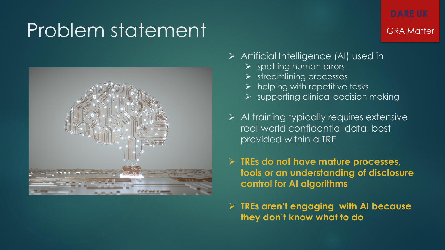### Problem statement GRAIMatter



- ➢ Artificial Intelligence (AI) used in
	- ➢ spotting human errors
	- ➢ streamlining processes
	- $\triangleright$  helping with repetitive tasks
	- $\triangleright$  supporting clinical decision making
- ➢ AI training typically requires extensive real-world confidential data, best provided within a TRE
- ➢ **TREs do not have mature processes, tools or an understanding of disclosure control for AI algorithms**
- ➢ **TREs aren't engaging with AI because they don't know what to do**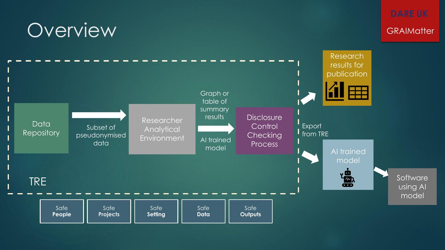## Overview GRAIMatter



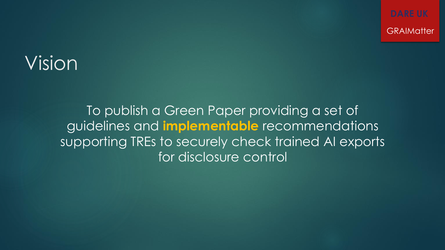**GRAIMatter** 

### Vision

To publish a Green Paper providing a set of guidelines and **implementable** recommendations supporting TREs to securely check trained AI exports for disclosure control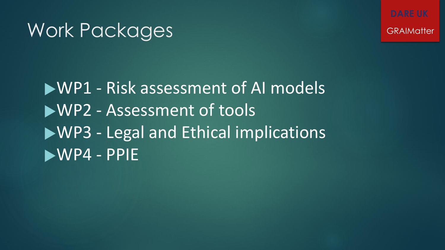### Work Packages GRAIMatter

WP1 - Risk assessment of AI models WP2 - Assessment of tools WP3 - Legal and Ethical implications WP4 - PPIE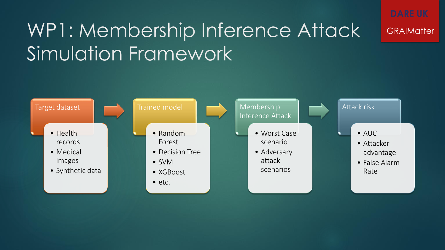# WP1: Membership Inference Attack GRAIMatter Simulation Framework

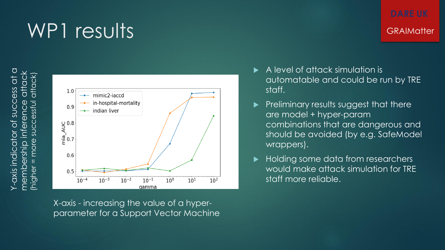





X-axis - increasing the value of a hyperparameter for a Support Vector Machine

- A level of attack simulation is automatable and could be run by TRE staff.
- $\blacktriangleright$  Preliminary results suggest that there are model + hyper-param combinations that are dangerous and should be avoided (by e.g. SafeModel wrappers).
- Holding some data from researchers would make attack simulation for TRE staff more reliable.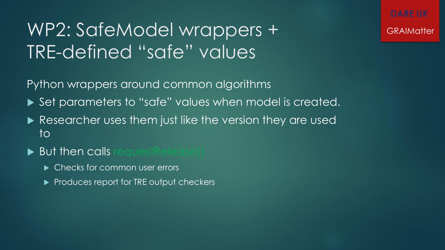### WP2: SafeModel wrappers + GRAIMatter TRE-defined "safe" values

Python wrappers around common algorithms

- ▶ Set parameters to "safe" values when model is created.
- Researcher uses them just like the version they are used to
- But then calls requestRelease()
	- ▶ Checks for common user errors
	- Produces report for TRE output checkers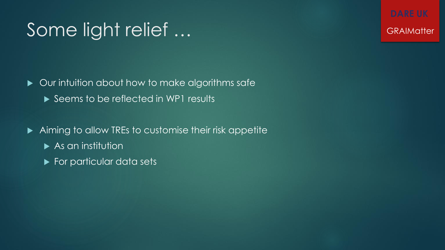### Some light relief ... Some light relief ...

▶ Our intuition about how to make algorithms safe Seems to be reflected in WP1 results

Aiming to allow TREs to customise their risk appetite

- $\blacktriangleright$  As an institution
- For particular data sets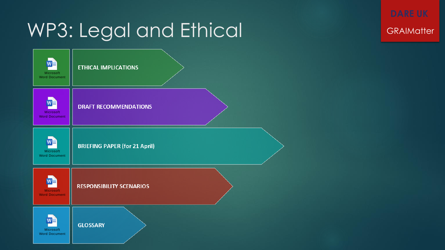## WP3: Legal and Ethical GRAIMatter

| w≣<br>Microsoft<br><b>Word Document</b>  | <b>ETHICAL IMPLICATIONS</b>          |
|------------------------------------------|--------------------------------------|
| <b>Microsoft</b><br><b>Word Document</b> | <b>DRAFT RECOMMENDATIONS</b>         |
| W≣<br>Microsoft<br><b>Word Document</b>  | <b>BRIEFING PAPER (for 21 April)</b> |
| <b>Microsoft</b><br><b>Word Document</b> | <b>RESPONSIBILITY SCENARIOS</b>      |
| w≣<br>Microsoft<br><b>Word Document</b>  | <b>GLOSSARY</b>                      |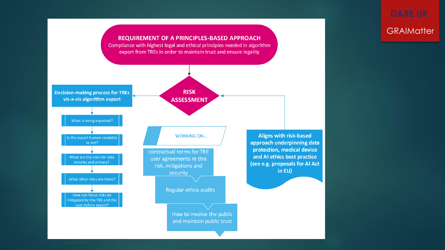### **REQUIREMENT OF A PRINCIPLES-BASED APPROACH** Compliance with highest legal and ethical principles needed in algorithm export from TREs in order to maintain trust and ensure legality **RISK Decision-making process for TREs** vis-a-vis algorithm export **ASSESSMENT** What is being exported? **Aligns with risk-based WORKING ON...** the export human-readable approach underpinning data or not? protection, medical device contractual terms for TRE and AI ethics best practice What are the risks for data user agreements re this security and privacy? (see e.g. proposals for AI Act risk, mitigations and in EU) security What other risks are there? Regular ethics audits How can these risks be mitigated by the TRE and the user before export? How to involve the public and maintain public trust

# **GRAIMatter**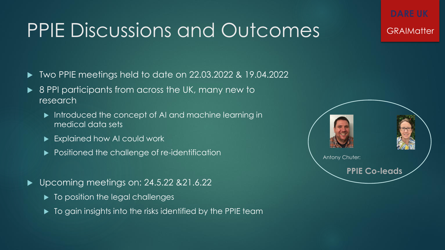## PPIE Discussions and Outcomes GRAIMatter

- Two PPIE meetings held to date on 22.03.2022 & 19.04.2022
- ▶ 8 PPI participants from across the UK, many new to research
	- Introduced the concept of AI and machine learning in medical data sets
	- Explained how AI could work
	- **Positioned the challenge of re-identification**
- ▶ Upcoming meetings on: 24.5.22 & 21.6.22
	- $\blacktriangleright$  To position the legal challenges
	- $\blacktriangleright$  To gain insights into the risks identified by the PPIE team

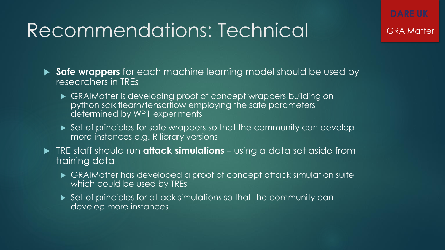### Recommendations: Technical GRAIMatter

 **Safe wrappers** for each machine learning model should be used by researchers in TREs

- GRAIMatter is developing proof of concept wrappers building on python scikitlearn/tensorflow employing the safe parameters determined by WP1 experiments
- ▶ Set of principles for safe wrappers so that the community can develop more instances e.g. R library versions

 TRE staff should run **attack simulations** – using a data set aside from training data

- GRAIMatter has developed a proof of concept attack simulation suite which could be used by TREs
- ▶ Set of principles for attack simulations so that the community can develop more instances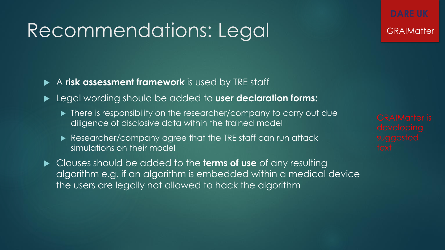### Recommendations: Legal GRAIMatter

A **risk assessment framework** is used by TRE staff

- Legal wording should be added to **user declaration forms:**
	- ▶ There is responsibility on the researcher/company to carry out due diligence of disclosive data within the trained model
	- Researcher/company agree that the TRE staff can run attack simulations on their model
- Clauses should be added to the **terms of use** of any resulting algorithm e.g. if an algorithm is embedded within a medical device the users are legally not allowed to hack the algorithm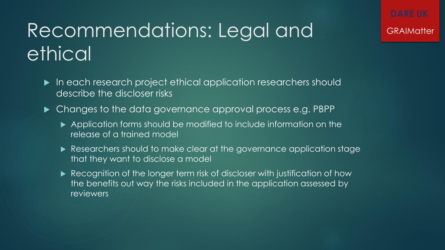# Recommendations: Legal and GRAIMatter ethical

- In each research project ethical application researchers should describe the discloser risks
- $\blacktriangleright$  Changes to the data governance approval process e.g. PBPP
	- Application forms should be modified to include information on the release of a trained model
	- Researchers should to make clear at the governance application stage that they want to disclose a model
	- Recognition of the longer term risk of discloser with justification of how the benefits out way the risks included in the application assessed by reviewers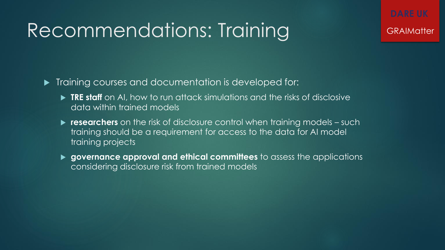## Recommendations: Training GRAIMatter

 $\blacktriangleright$  Training courses and documentation is developed for:

- **TRE staff** on AI, how to run attack simulations and the risks of disclosive data within trained models
- **researchers** on the risk of disclosure control when training models such training should be a requirement for access to the data for AI model training projects
- **governance approval and ethical committees** to assess the applications considering disclosure risk from trained models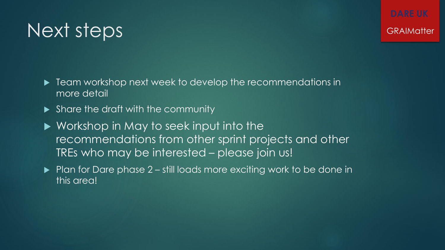**Figure 1** Team workshop next week to develop the recommendations in more detail

- Share the draft with the community
- ▶ Workshop in May to seek input into the recommendations from other sprint projects and other TREs who may be interested – please join us!
- $\blacktriangleright$  Plan for Dare phase 2 still loads more exciting work to be done in this area!

### Next steps GRAIMatter